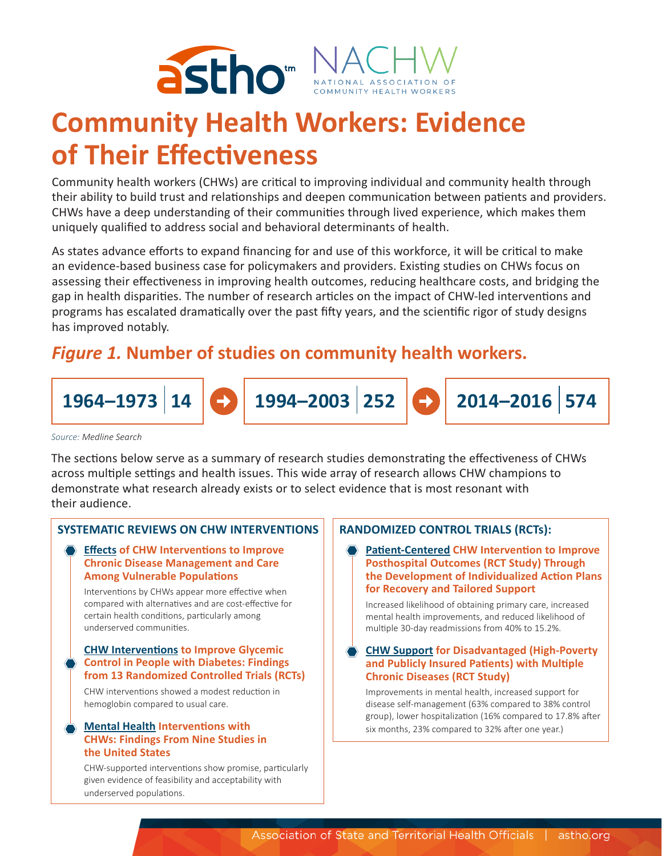

# **Community Health Workers: Evidence of Their Effectiveness**

Community health workers (CHWs) are critical to improving individual and community health through their ability to build trust and relationships and deepen communication between patients and providers. CHWs have a deep understanding of their communities through lived experience, which makes them uniquely qualified to address social and behavioral determinants of health.

As states advance efforts to expand financing for and use of this workforce, it will be critical to make an evidence-based business case for policymakers and providers. Existing studies on CHWs focus on assessing their effectiveness in improving health outcomes, reducing healthcare costs, and bridging the gap in health disparities. The number of research articles on the impact of CHW-led interventions and programs has escalated dramatically over the past fifty years, and the scientific rigor of study designs has improved notably.

# *Figure 1.* **Number of studies on community health workers.**



*Source: Medline Search*

The sections below serve as a summary of research studies demonstrating the effectiveness of CHWs across multiple settings and health issues. This wide array of research allows CHW champions to demonstrate what research already exists or to select evidence that is most resonant with their audience.